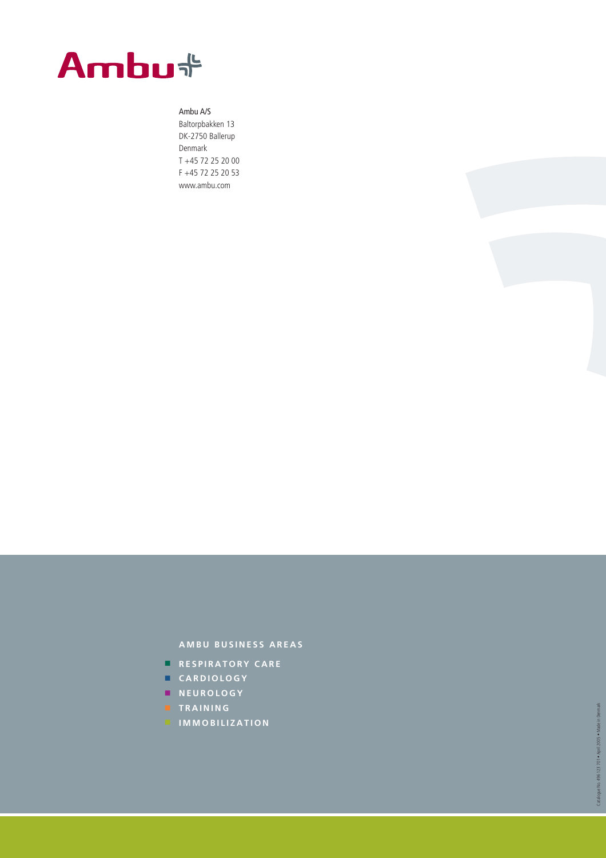

### Ambu A/S

Baltorpbakken 13 DK-2750 Ballerup Denmark T +45 72 25 20 00 F +45 72 25 20 53 www.ambu.com



- **RESPIRATORY CARE**
- **CARDIOLOGY**
- 
- **NEUROLOGY**
- **TRAINING**
- **IMMOBILIZATION**
- 
- 
-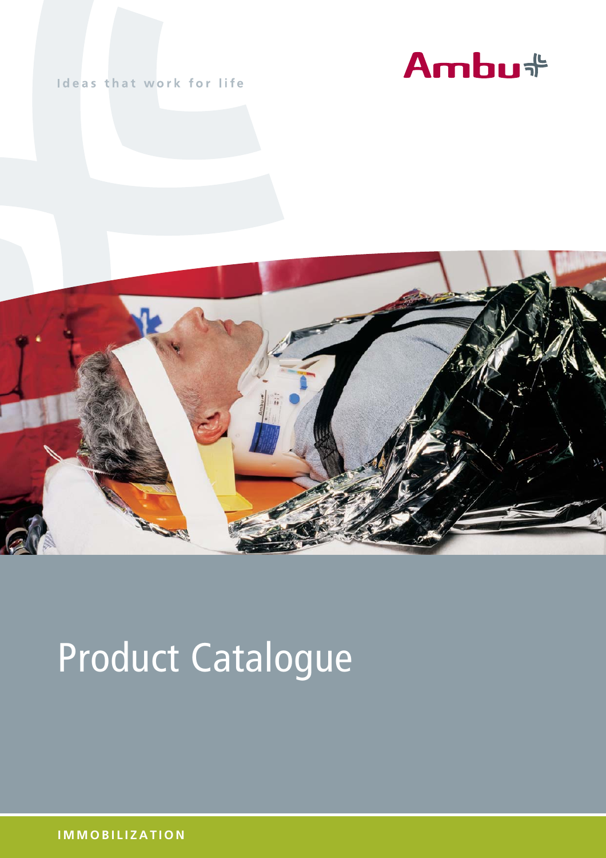

### Ideas that work for life



# Product Catalogue

**IMMOBILIZATION**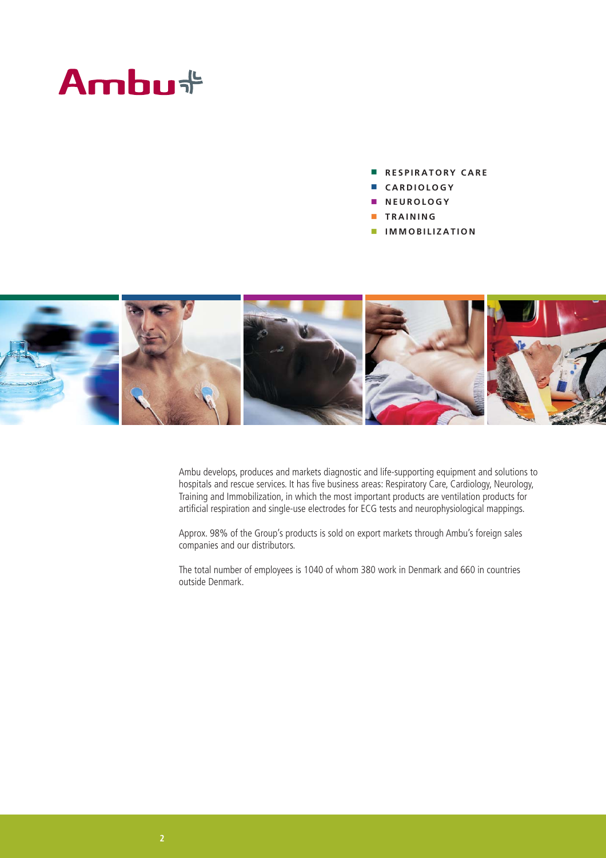## Ambu<sup>+</sup>

- **RESPIRATORY CARE**
- **CARDIOLOGY**
- **NEUROLOGY**
- **TRAINING**
- **IMMOBILIZATION**



Ambu develops, produces and markets diagnostic and life-supporting equipment and solutions to hospitals and rescue services. It has five business areas: Respiratory Care, Cardiology, Neurology, Training and Immobilization, in which the most important products are ventilation products for artificial respiration and single-use electrodes for ECG tests and neurophysiological mappings.

Approx. 98% of the Group's products is sold on export markets through Ambu's foreign sales companies and our distributors.

The total number of employees is 1040 of whom 380 work in Denmark and 660 in countries outside Denmark.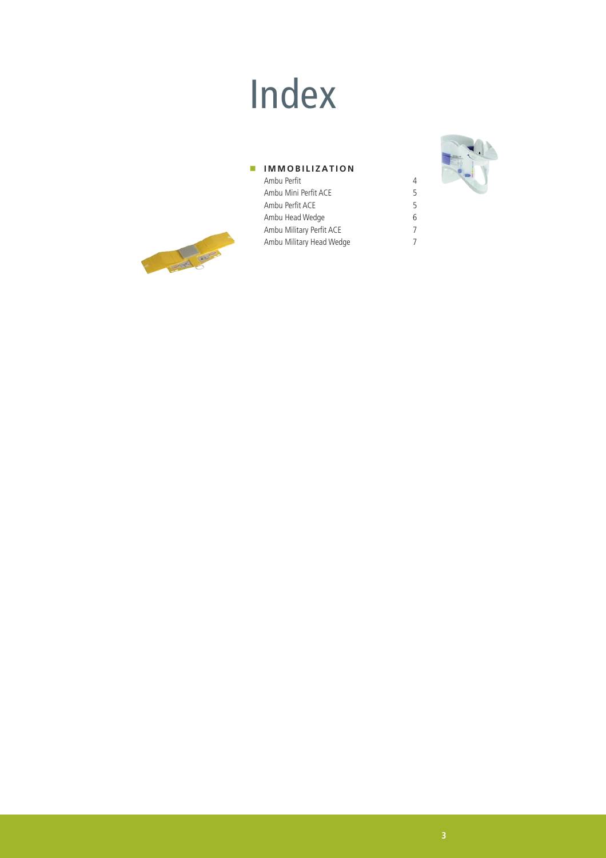## Index

#### **IMMOBILIZATION** Ambu Perfit 4

Ambu Military Head Wedge 7

Ambu Perfit ACE 5

Ambu Mini Perfit ACE 5<br>Ambu Perfit ACE 5

Ambu Head Wedge 6 Ambu Military Perfit ACE 7<br>Ambu Military Head Wedge 7





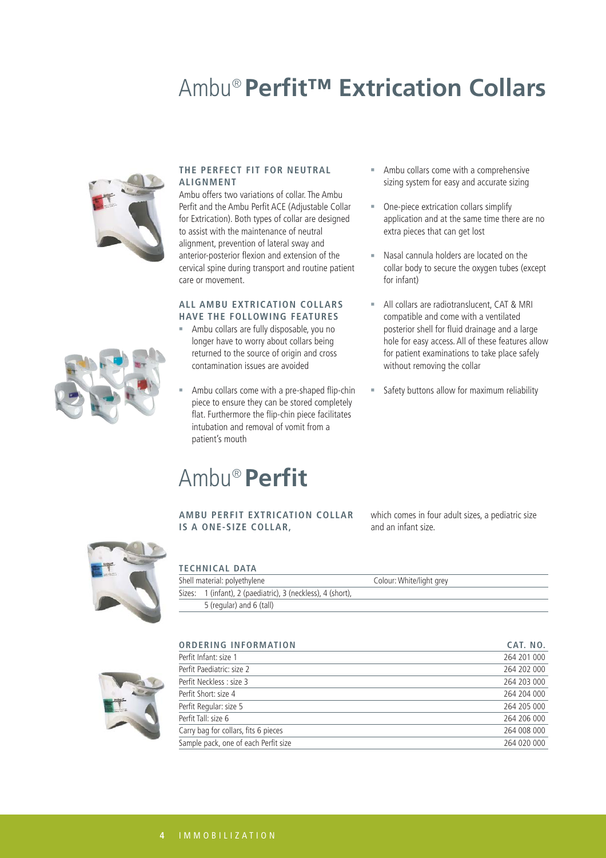### Ambu® **Perfit™ Extrication Collars**



#### **THE PERFECT FIT FOR NEUTRAL ALIGNMENT**

Ambu offers two variations of collar. The Ambu Perfit and the Ambu Perfit ACE (Adjustable Collar for Extrication). Both types of collar are designed to assist with the maintenance of neutral alignment, prevention of lateral sway and anterior-posterior flexion and extension of the cervical spine during transport and routine patient care or movement.

#### **ALL AMBU EXTRICATION COLLARS HAVE THE FOLLOWING FEATURES**

- Ambu collars are fully disposable, you no longer have to worry about collars being returned to the source of origin and cross contamination issues are avoided
- Ambu collars come with a pre-shaped flip-chin piece to ensure they can be stored completely flat. Furthermore the flip-chin piece facilitates intubation and removal of vomit from a patient's mouth

### Ambu® **Perfit**

- Ambu collars come with a comprehensive sizing system for easy and accurate sizing
- One-piece extrication collars simplify application and at the same time there are no extra pieces that can get lost
- Nasal cannula holders are located on the collar body to secure the oxygen tubes (except for infant)
- All collars are radiotranslucent, CAT & MRI compatible and come with a ventilated posterior shell for fluid drainage and a large hole for easy access. All of these features allow for patient examinations to take place safely without removing the collar
- **Safety buttons allow for maximum reliability**



**AMBU PERFIT EXTRICATION COLLAR IS A ONE-SIZE COLLAR,**

which comes in four adult sizes, a pediatric size and an infant size.



|  |  |  |  | TECHNICAL DATA |
|--|--|--|--|----------------|

| Shell material: polyethylene                                | Colour: White/light grey |  |  |
|-------------------------------------------------------------|--------------------------|--|--|
| Sizes: 1 (infant), 2 (paediatric), 3 (neckless), 4 (short), |                          |  |  |
| 5 (regular) and 6 (tall)                                    |                          |  |  |

**ORDERING INFORMATION CAT. NO.**



| Perfit Infant: size 1                | 264 201 000 |
|--------------------------------------|-------------|
| Perfit Paediatric: size 2            | 264 202 000 |
| Perfit Neckless : size 3             | 264 203 000 |
| Perfit Short: size 4                 | 264 204 000 |
| Perfit Regular: size 5               | 264 205 000 |
| Perfit Tall: size 6                  | 264 206 000 |
| Carry bag for collars, fits 6 pieces | 264 008 000 |
| Sample pack, one of each Perfit size | 264 020 000 |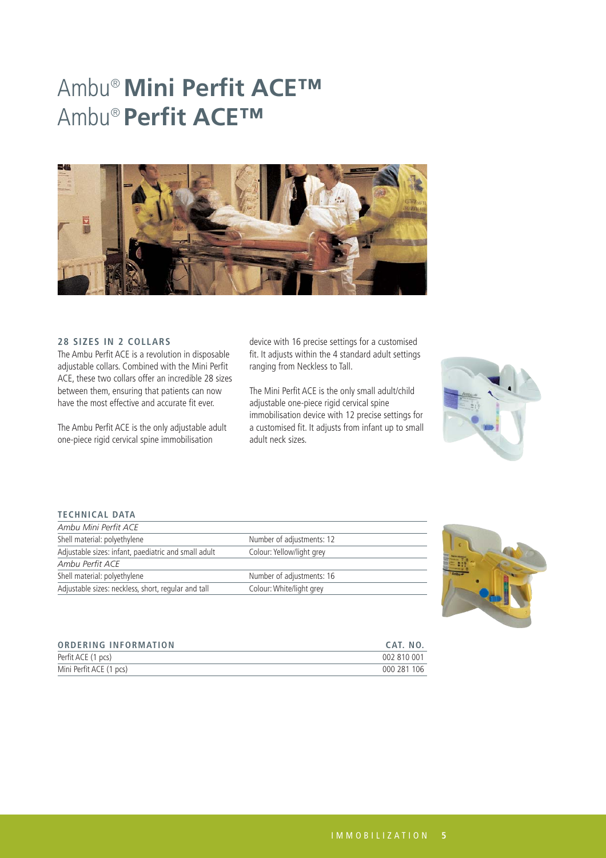### Ambu®**Mini Perfit ACE™** Ambu® **Perfit ACE™**



### **28 SIZES IN 2 COLLARS**

The Ambu Perfit ACE is a revolution in disposable adjustable collars. Combined with the Mini Perfit ACE, these two collars offer an incredible 28 sizes between them, ensuring that patients can now have the most effective and accurate fit ever.

The Ambu Perfit ACE is the only adjustable adult one-piece rigid cervical spine immobilisation

device with 16 precise settings for a customised fit. It adjusts within the 4 standard adult settings ranging from Neckless to Tall.

The Mini Perfit ACE is the only small adult/child adjustable one-piece rigid cervical spine immobilisation device with 12 precise settings for a customised fit. It adjusts from infant up to small adult neck sizes.



#### **TECHNICAL DATA**

| Ambu Mini Perfit ACE                                 |                           |
|------------------------------------------------------|---------------------------|
| Shell material: polyethylene                         | Number of adjustments: 12 |
| Adjustable sizes: infant, paediatric and small adult | Colour: Yellow/light grey |
| Ambu Perfit ACE                                      |                           |
| Shell material: polyethylene                         | Number of adjustments: 16 |
| Adjustable sizes: neckless, short, regular and tall  | Colour: White/light grey  |



| <b>ORDERING INFORMATION</b> | CAT. NO.    |
|-----------------------------|-------------|
| Perfit ACE (1 pcs)          | 002 810 001 |
| Mini Perfit ACE (1 pcs)     | 000 281 106 |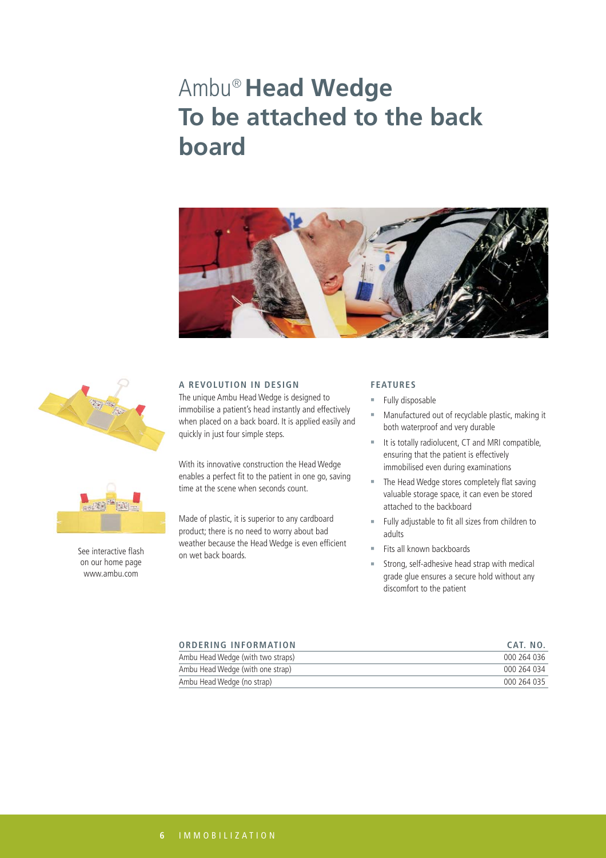### Ambu® **Head Wedge To be attached to the back board**







See interactive flash on our home page www.ambu.com

#### **A REVOLUTION IN DESIGN**

The unique Ambu Head Wedge is designed to immobilise a patient's head instantly and effectively when placed on a back board. It is applied easily and quickly in just four simple steps.

With its innovative construction the Head Wedge enables a perfect fit to the patient in one go, saving time at the scene when seconds count.

Made of plastic, it is superior to any cardboard product; there is no need to worry about bad weather because the Head Wedge is even efficient on wet back boards.

### **FEATURES**

- Fully disposable
- Manufactured out of recyclable plastic, making it both waterproof and very durable
- It is totally radiolucent, CT and MRI compatible, ensuring that the patient is effectively immobilised even during examinations
- The Head Wedge stores completely flat saving valuable storage space, it can even be stored attached to the backboard
- Fully adjustable to fit all sizes from children to adults
- Fits all known backboards
- Strong, self-adhesive head strap with medical grade glue ensures a secure hold without any discomfort to the patient

| <b>ORDERING INFORMATION</b>       | CAT. NO.    |
|-----------------------------------|-------------|
| Ambu Head Wedge (with two straps) | 000 264 036 |
| Ambu Head Wedge (with one strap)  | 000 264 034 |
| Ambu Head Wedge (no strap)        | 000 264 035 |